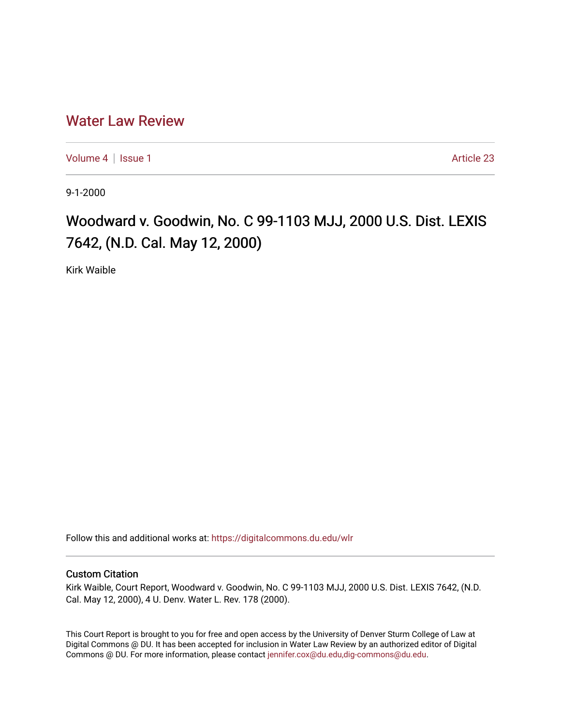## [Water Law Review](https://digitalcommons.du.edu/wlr)

[Volume 4](https://digitalcommons.du.edu/wlr/vol4) | [Issue 1](https://digitalcommons.du.edu/wlr/vol4/iss1) Article 23

9-1-2000

## Woodward v. Goodwin, No. C 99-1103 MJJ, 2000 U.S. Dist. LEXIS 7642, (N.D. Cal. May 12, 2000)

Kirk Waible

Follow this and additional works at: [https://digitalcommons.du.edu/wlr](https://digitalcommons.du.edu/wlr?utm_source=digitalcommons.du.edu%2Fwlr%2Fvol4%2Fiss1%2F23&utm_medium=PDF&utm_campaign=PDFCoverPages) 

## Custom Citation

Kirk Waible, Court Report, Woodward v. Goodwin, No. C 99-1103 MJJ, 2000 U.S. Dist. LEXIS 7642, (N.D. Cal. May 12, 2000), 4 U. Denv. Water L. Rev. 178 (2000).

This Court Report is brought to you for free and open access by the University of Denver Sturm College of Law at Digital Commons @ DU. It has been accepted for inclusion in Water Law Review by an authorized editor of Digital Commons @ DU. For more information, please contact [jennifer.cox@du.edu,dig-commons@du.edu.](mailto:jennifer.cox@du.edu,dig-commons@du.edu)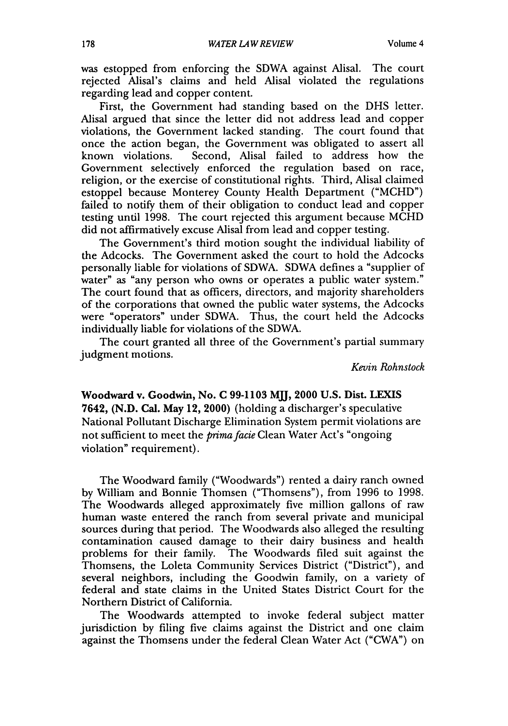was estopped from enforcing the SDWA against Alisal. The court rejected Alisal's claims and held Alisal violated the regulations regarding lead and copper content.

First, the Government had standing based on the DHS letter. Alisal argued that since the letter did not address lead and copper violations, the Government lacked standing. The court found that once the action began, the Government was obligated to assert all known violations. Second, Alisal failed to address how the Government selectively enforced the regulation based on race, religion, or the exercise of constitutional rights. Third, Alisal claimed estoppel because Monterey County Health Department ("MCHD") failed to notify them of their obligation to conduct lead and copper testing until 1998. The court rejected this argument because MCHD did not affirmatively excuse Alisal from lead and copper testing.

The Government's third motion sought the individual liability of the Adcocks. The Government asked the court to hold the Adcocks personally liable for violations of SDWA. SDWA defines a "supplier of water" as "any person who owns or operates a public water system." The court found that as officers, directors, and majority shareholders of the corporations that owned the public water systems, the Adcocks were "operators" under SDWA. Thus, the court held the Adcocks individually liable for violations of the SDWA.

The court granted all three of the Government's partial summary judgment motions.

*Kevin Rohnstock*

Woodward v. Goodwin, No. **C 99-1103** MMj, 2000 **U.S.** Dist. **LEXIS** 7642, **(N.D.** Cal. May 12, 2000) (holding a discharger's speculative National Pollutant Discharge Elimination System permit violations are not sufficient to meet the *primafacie* Clean Water Act's "ongoing violation" requirement).

The Woodward family ("Woodwards") rented a dairy ranch owned by William and Bonnie Thomsen ("Thomsens"), from 1996 to 1998. The Woodwards alleged approximately five million gallons of raw human waste entered the ranch from several private and municipal sources during that period. The Woodwards also alleged the resulting contamination caused damage to their dairy business and health problems for their family. The Woodwards filed suit against the Thomsens, the Loleta Community Services District ("District"), and several neighbors, including the Goodwin family, on a variety of federal and state claims in the United States District Court for the Northern District of California.

The Woodwards attempted to invoke federal subject matter jurisdiction by filing five claims against the District and one claim against the Thomsens under the federal Clean Water Act ("CWA") on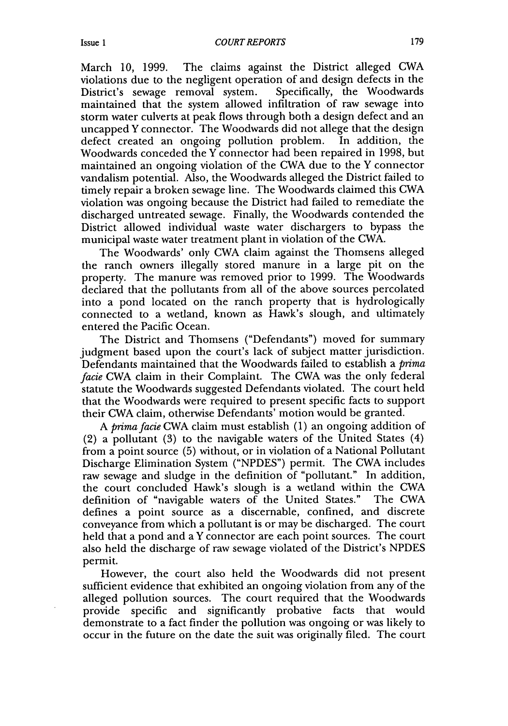March 10, 1999. The claims against the District alleged CWA violations due to the negligent operation of and design defects in the District's sewage removal system. Specifically, the Woodwards District's sewage removal system. maintained that the system allowed infiltration of raw sewage into storm water culverts at peak flows through both a design defect and an uncapped Y connector. The Woodwards did not allege that the design<br>defect created an ongoing pollution problem. In addition, the defect created an ongoing pollution problem. Woodwards conceded the Y connector had been repaired in 1998, but maintained an ongoing violation of the CWA due to the Y connector vandalism potential. Also, the Woodwards alleged the District failed to timely repair a broken sewage line. The Woodwards claimed this CWA violation was ongoing because the District had failed to remediate the discharged untreated sewage. Finally, the Woodwards contended the District allowed individual waste water dischargers to bypass the municipal waste water treatment plant in violation of the CWA.

The Woodwards' only CWA claim against the Thomsens alleged the ranch owners illegally stored manure in a large pit on the property. The manure was removed prior to 1999. The Woodwards declared that the pollutants from all of the above sources percolated into a pond located on the ranch property that is hydrologically connected to a wetland, known as Hawk's slough, and ultimately entered the Pacific Ocean.

The District and Thomsens ("Defendants") moved for summary judgment based upon the court's lack of subject matter jurisdiction. Defendants maintained that the Woodwards failed to establish a *prima facie* CWA claim in their Complaint. The CWA was the only federal statute the Woodwards suggested Defendants violated. The court held that the Woodwards were required to present specific facts to support their CWA claim, otherwise Defendants' motion would be granted.

*A primafacie* CWA claim must establish (1) an ongoing addition of (2) a pollutant (3) to the navigable waters of the United States (4) from a point source (5) without, or in violation of a National Pollutant Discharge Elimination System ("NPDES") permit. The CWA includes raw sewage and sludge in the definition of "pollutant." In addition, the court concluded Hawk's slough is a wetland within the CWA definition of "navigable waters of the United States." The CWA defines a point source as a discernable, confined, and discrete conveyance from which a pollutant is or may be discharged. The court held that a pond and a Y connector are each point sources. The court also held the discharge of raw sewage violated of the District's NPDES permit.

However, the court also held the Woodwards did not present sufficient evidence that exhibited an ongoing violation from any of the alleged pollution sources. The court required that the Woodwards provide specific and significantly probative facts that would demonstrate to a fact finder the pollution was ongoing or was likely to occur in the future on the date the suit was originally filed. The court